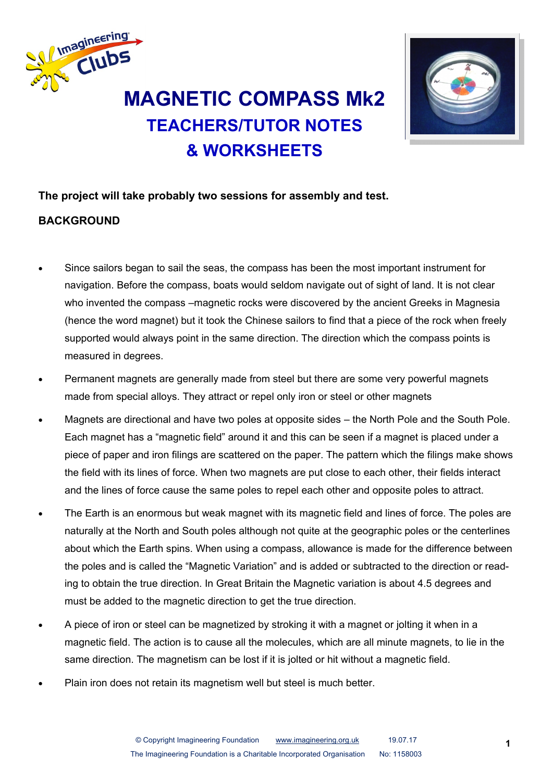

# **TEACHERS/TUTOR NOTES & WORKSHEETS**



### **The project will take probably two sessions for assembly and test.**

#### **BACKGROUND**

- Since sailors began to sail the seas, the compass has been the most important instrument for navigation. Before the compass, boats would seldom navigate out of sight of land. It is not clear who invented the compass –magnetic rocks were discovered by the ancient Greeks in Magnesia (hence the word magnet) but it took the Chinese sailors to find that a piece of the rock when freely supported would always point in the same direction. The direction which the compass points is measured in degrees.
- Permanent magnets are generally made from steel but there are some very powerful magnets made from special alloys. They attract or repel only iron or steel or other magnets
- Magnets are directional and have two poles at opposite sides the North Pole and the South Pole. Each magnet has a "magnetic field" around it and this can be seen if a magnet is placed under a piece of paper and iron filings are scattered on the paper. The pattern which the filings make shows the field with its lines of force. When two magnets are put close to each other, their fields interact and the lines of force cause the same poles to repel each other and opposite poles to attract.
- The Earth is an enormous but weak magnet with its magnetic field and lines of force. The poles are naturally at the North and South poles although not quite at the geographic poles or the centerlines about which the Earth spins. When using a compass, allowance is made for the difference between the poles and is called the "Magnetic Variation" and is added or subtracted to the direction or reading to obtain the true direction. In Great Britain the Magnetic variation is about 4.5 degrees and must be added to the magnetic direction to get the true direction.
- A piece of iron or steel can be magnetized by stroking it with a magnet or jolting it when in a magnetic field. The action is to cause all the molecules, which are all minute magnets, to lie in the same direction. The magnetism can be lost if it is jolted or hit without a magnetic field.
- Plain iron does not retain its magnetism well but steel is much better.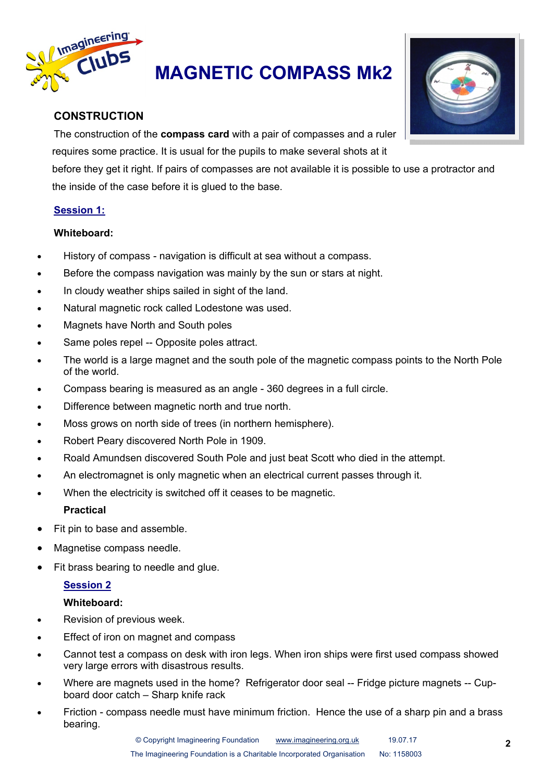

# **MAGNETIC COMPASS Mk2**

#### **CONSTRUCTION**

The construction of the **compass card** with a pair of compasses and a ruler requires some practice. It is usual for the pupils to make several shots at it

before they get it right. If pairs of compasses are not available it is possible to use a protractor and the inside of the case before it is glued to the base.

#### **Session 1:**

#### **Whiteboard:**

- History of compass navigation is difficult at sea without a compass.
- Before the compass navigation was mainly by the sun or stars at night.
- In cloudy weather ships sailed in sight of the land.
- Natural magnetic rock called Lodestone was used.
- Magnets have North and South poles
- Same poles repel -- Opposite poles attract.
- The world is a large magnet and the south pole of the magnetic compass points to the North Pole of the world.
- Compass bearing is measured as an angle 360 degrees in a full circle.
- Difference between magnetic north and true north.
- Moss grows on north side of trees (in northern hemisphere).
- Robert Peary discovered North Pole in 1909.
- Roald Amundsen discovered South Pole and just beat Scott who died in the attempt.
- An electromagnet is only magnetic when an electrical current passes through it.
- When the electricity is switched off it ceases to be magnetic.

#### **Practical**

- Fit pin to base and assemble.
- Magnetise compass needle.
- Fit brass bearing to needle and glue.

#### **Session 2**

#### **Whiteboard:**

- Revision of previous week.
- Effect of iron on magnet and compass
- Cannot test a compass on desk with iron legs. When iron ships were first used compass showed very large errors with disastrous results.
- Where are magnets used in the home? Refrigerator door seal -- Fridge picture magnets -- Cupboard door catch – Sharp knife rack
- Friction compass needle must have minimum friction. Hence the use of a sharp pin and a brass bearing.

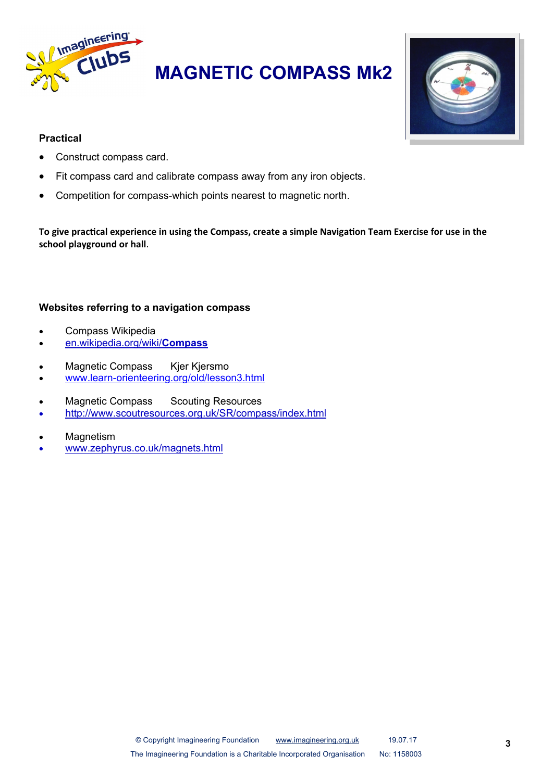

**MAGNETIC COMPASS Mk2**



#### **Practical**

- Construct compass card.
- Fit compass card and calibrate compass away from any iron objects.
- Competition for compass-which points nearest to magnetic north.

**To give practical experience in using the Compass, create a simple Navigation Team Exercise for use in the school playground or hall**.

#### **Websites referring to a navigation compass**

- Compass Wikipedia
- en.wikipedia.org/wiki/**Compass**
- Magnetic Compass Kjer Kjersmo
- www.learn-[orienteering.org/old/lesson3.html](http://www.learn-orienteering.org/old/lesson3.html)
- Magnetic Compass Scouting Resources
- http://www.scoutresources.org.uk/SR/compass/index.html
- **Magnetism**
- www.zephyrus.co.uk/magnets.html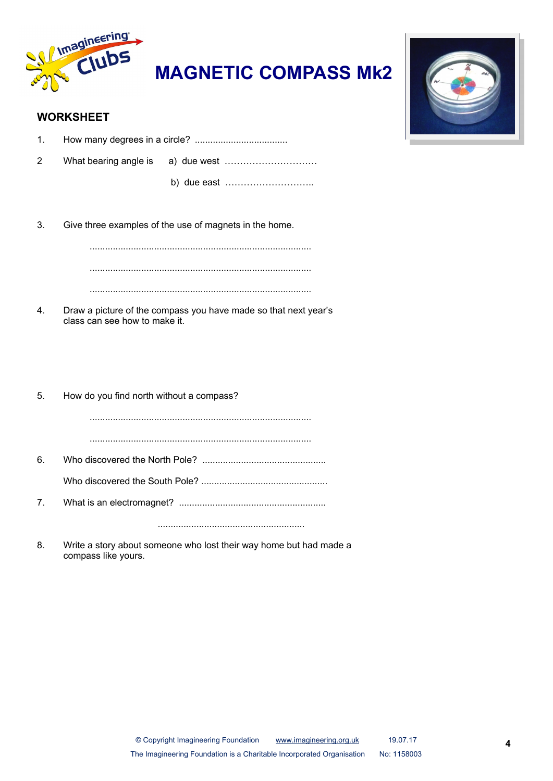

**MAGNETIC COMPASS Mk2**



#### **WORKSHEET**

1. How many degrees in a circle? ....................................

2 What bearing angle is a) due west …………………………

b) due east ………………………..

3. Give three examples of the use of magnets in the home.

...................................................................................... ...................................................................................... ......................................................................................

4. Draw a picture of the compass you have made so that next year's class can see how to make it.

5. How do you find north without a compass? ...................................................................................... ...................................................................................... 6. Who discovered the North Pole? ................................................ Who discovered the South Pole? ................................................. 7. What is an electromagnet? ......................................................... .........................................................

8. Write a story about someone who lost their way home but had made a compass like yours.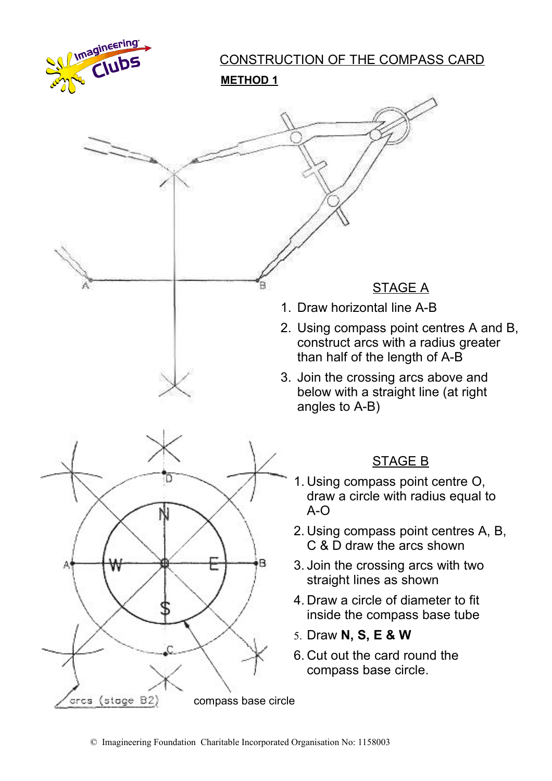

# CONSTRUCTION OF THE COMPASS CARD

**METHOD 1**